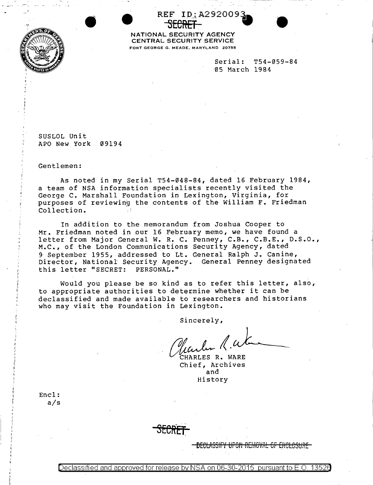

**SECREF.** • NATIONAL SECURITY AGENCY CENTRAL SECURITY SERVICE FORT GEORGE G. MEADE, MARYLAND 20755

REF ID: A292009.

Serial: T54-059-84 05 March 1984

SUSLOL Unit APO New York 09194

Gentlemen:

As noted in my Serial T54-048-84, dated 16 February 1984, a team of NSA information specialists recently visited the George C. Marshall Feundation in Lexington, Virginia, for purposes of reviewing the contents of the William F. Friedman Collection. '

In addition to the memorandum from Joshua Cooper to Mr. Friedman noted in our 16 February memo, we have found a letter from Major General W. R. C. Penney, C.B., C.B.E., D.S.O., M.C., of the London Communications Security Agency, dated 9 September 1955, addressed to Lt. General Ralph J. Canine, Director, National Security Agency. General Penney designated this letter "SECRET: PERSONAL."

Would you please be so kind as to refer this letter, also, to appropriate authorities to determine whether it can be declassified and made available to researchers and historians who may visit the Foundation in Lexington.

Sincerely,

*flander R.W*<br>CHARLES R. WARE<br>Chief, Archives

and History

Encl: a/s

,, I' I' 11

**BE6U\SSfFY** tJf~tJ R~f1iO'o't\L **er ENCLOSURE**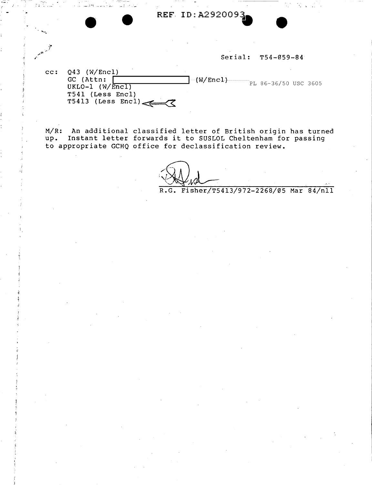**REF ID: A2920093** 

Serial: T54-059-84

| cc: Q43 (W/Enc1)    |  |                                   |  |
|---------------------|--|-----------------------------------|--|
| GC (Attn:           |  | $-W/Enc1)$ $PL 86-36/50$ USC 3605 |  |
| UKLO-1 $(W/Enc1)$   |  |                                   |  |
| T541 (Less Encl)    |  |                                   |  |
| $T5413$ (Less Encl) |  |                                   |  |

M/R: An additional classified letter of British origin has turned u*)* R: An additional classified letter of British origin has turned<br>up. Instant letter forwards it to SUSLOL Cheltenham for passing to appropriate GCHQ office for declassification review.

I~ JI\_ . . . l ... ···-

R.G. Fisher/T5413/972-2268/05 Mar 84/nll